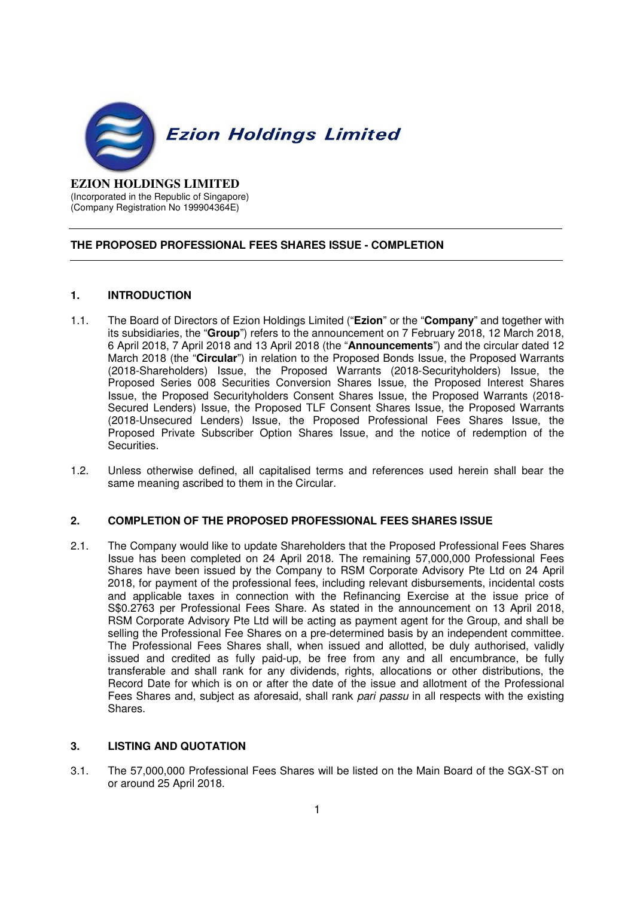

#### **EZION HOLDINGS LIMITED**  (Incorporated in the Republic of Singapore) (Company Registration No 199904364E)

# **THE PROPOSED PROFESSIONAL FEES SHARES ISSUE - COMPLETION**

## **1. INTRODUCTION**

- 1.1. The Board of Directors of Ezion Holdings Limited ("**Ezion**" or the "**Company**" and together with its subsidiaries, the "**Group**") refers to the announcement on 7 February 2018, 12 March 2018, 6 April 2018, 7 April 2018 and 13 April 2018 (the "**Announcements**") and the circular dated 12 March 2018 (the "**Circular**") in relation to the Proposed Bonds Issue, the Proposed Warrants (2018-Shareholders) Issue, the Proposed Warrants (2018-Securityholders) Issue, the Proposed Series 008 Securities Conversion Shares Issue, the Proposed Interest Shares Issue, the Proposed Securityholders Consent Shares Issue, the Proposed Warrants (2018- Secured Lenders) Issue, the Proposed TLF Consent Shares Issue, the Proposed Warrants (2018-Unsecured Lenders) Issue, the Proposed Professional Fees Shares Issue, the Proposed Private Subscriber Option Shares Issue, and the notice of redemption of the Securities.
- 1.2. Unless otherwise defined, all capitalised terms and references used herein shall bear the same meaning ascribed to them in the Circular.

#### **2. COMPLETION OF THE PROPOSED PROFESSIONAL FEES SHARES ISSUE**

2.1. The Company would like to update Shareholders that the Proposed Professional Fees Shares Issue has been completed on 24 April 2018. The remaining 57,000,000 Professional Fees Shares have been issued by the Company to RSM Corporate Advisory Pte Ltd on 24 April 2018, for payment of the professional fees, including relevant disbursements, incidental costs and applicable taxes in connection with the Refinancing Exercise at the issue price of S\$0.2763 per Professional Fees Share. As stated in the announcement on 13 April 2018, RSM Corporate Advisory Pte Ltd will be acting as payment agent for the Group, and shall be selling the Professional Fee Shares on a pre-determined basis by an independent committee. The Professional Fees Shares shall, when issued and allotted, be duly authorised, validly issued and credited as fully paid-up, be free from any and all encumbrance, be fully transferable and shall rank for any dividends, rights, allocations or other distributions, the Record Date for which is on or after the date of the issue and allotment of the Professional Fees Shares and, subject as aforesaid, shall rank pari passu in all respects with the existing Shares.

#### **3. LISTING AND QUOTATION**

3.1. The 57,000,000 Professional Fees Shares will be listed on the Main Board of the SGX-ST on or around 25 April 2018.